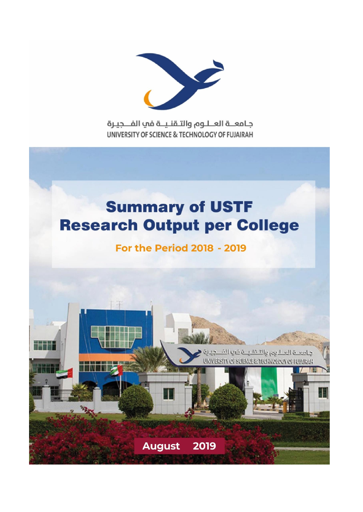

جامعــة العــلـوم والتـقنـيــة في الفـــجيـرة UNIVERSITY OF SCIENCE & TECHNOLOGY OF FUJAIRAH

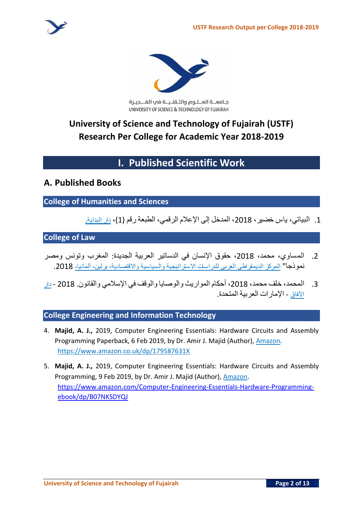

جامعــة العــلـوم والتـقنـيــة في الفـــجيـرة UNIVERSITY OF SCIENCE & TECHNOLOGY OF FUJAIRAH

# **University of Science and Technology of Fujairah (USTF) Research Per College for Academic Year 2018-2019**

# **I. Published Scientific Work**

## **A. Published Books**

## **College of Humanities and Sciences**

.1 **البياتي، ياس خضير، ،**2018 **المدخل إلى اإلعالم الرقمي، الطبعة رقم** )1(**، دار البداية.**

## **College of Law**

- .2 **المساوي، محمد، ،**2018 **حقوق اإلنسان في الدساتير العربية الجديدة**: **المغرب وتونس ومصر نموذجا**" **المركز الديمقراطي العربي للدراسات االستراتيجية والسياسية واالقتصادية، برلين- ألمانيا،** .2018
- .3 **المحمد، خلف محمد، ،**2018 **أحكام المواريث والوصايا والوقف في اإلسالمي والقانون**. 2018 **دار اآلفاق** - **اإلمارات العربية المتحدة**.

## **College Engineering and Information Technology**

- 4. **Majid, A. J.,** 2019, Computer Engineering Essentials: Hardware Circuits and Assembly Programming Paperback, 6 Feb 2019, by Dr. Amir J. Majid (Author), Amazon. <https://www.amazon.co.uk/dp/179587631X>
- 5. **Majid, A. J.,** 2019, Computer Engineering Essentials: Hardware Circuits and Assembly Programming, 9 Feb 2019, by Dr. Amir J. Majid (Author), Amazon. [https://www.amazon.com/Computer-Engineering-Essentials-Hardware-Programming](https://www.amazon.com/Computer-Engineering-Essentials-Hardware-Programming-ebook/dp/B07NKSDYQJ)[ebook/dp/B07NKSDYQJ](https://www.amazon.com/Computer-Engineering-Essentials-Hardware-Programming-ebook/dp/B07NKSDYQJ)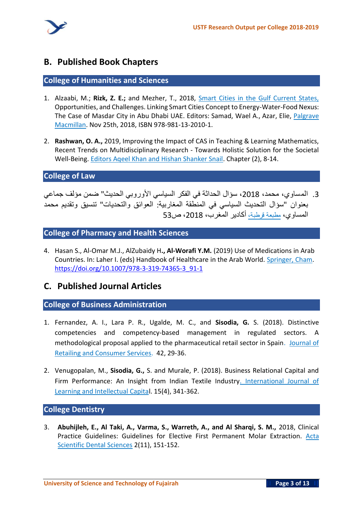

## **B. Published Book Chapters**

#### **College of Humanities and Sciences**

- 1. Alzaabi, M.; **Rizk, Z. E.;** and Mezher, T., 2018, Smart Cities in the Gulf Current States, Opportunities, and Challenges. Linking Smart Cities Concept to Energy-Water-Food Nexus: The Case of Masdar City in Abu Dhabi UAE. Editors: Samad, Wael A., Azar, Elie, Palgrave Macmillan. Nov 25th, 2018, ISBN 978-981-13-2010-1.
- 2. **Rashwan, O. A.,** 2019, Improving the Impact of CAS in Teaching & Learning Mathematics, Recent Trends on Multidisciplinary Research - Towards Holistic Solution for the Societal Well-Being. Editors Aqeel Khan and Hishan Shanker Snail. Chapter (2), 8-14.

#### **College of Law**

.3 **المساوي، محمد، ،**2018 **سؤال الحداثة في الفكر السياسي األوروبي الحديث** " **ضمن مؤلف جماعي بعنوان** "**سؤال التحديث السياسي في المنطقة المغاربية** : **العوائق والتحديات** " **تنسيق وتقديم محمد المساوي، مطبعة قرطبة، أكادير المغرب، ،**2018 **ص** 53

**College of Pharmacy and Health Sciences**

4. Hasan S., Al-Omar M.J., AlZubaidy H**., Al-Worafi Y.M.** (2019) Use of Medications in Arab Countries. In: Laher I. (eds) Handbook of Healthcare in the Arab World. Springer, Cham. [https://doi.org/10.1007/978-3-319-74365-3\\_91-1](https://doi.org/10.1007/978-3-319-74365-3_91-1)

## **C. Published Journal Articles**

#### **College of Business Administration**

- 1. Fernandez, A. I., Lara P. R., Ugalde, M. C., and **Sisodia, G.** S. (2018). Distinctive competencies and competency-based management in regulated sectors. A methodological proposal applied to the pharmaceutical retail sector in Spain. Journal of Retailing and Consumer Services. 42, 29-36.
- 2. Venugopalan, M., **Sisodia, G.,** S. and Murale, P. (2018). Business Relational Capital and Firm Performance: An Insight from Indian Textile Industry. International Journal of Learning and Intellectual Capital. 15(4), 341-362.

#### **College Dentistry**

3. **Abuhijleh, E., Al Taki, A., Varma, S., Warreth, A., and Al Sharqi, S. M.,** 2018, Clinical Practice Guidelines: Guidelines for Elective First Permanent Molar Extraction. Acta Scientific Dental Sciences 2(11), 151-152.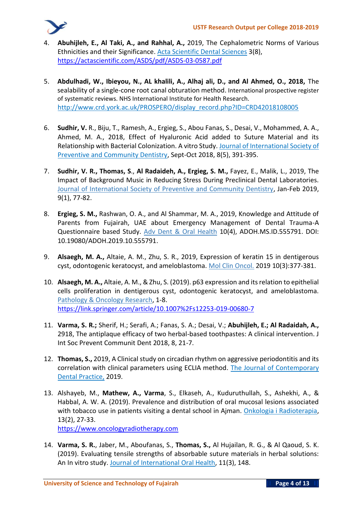

- 4. **Abuhijleh, E., Al Taki, A., and Rahhal, A.,** 2019, The Cephalometric Norms of Various Ethnicities and their Significance. Acta Scientific Dental Sciences 3(8), <https://actascientific.com/ASDS/pdf/ASDS-03-0587.pdf>
- 5. **Abdulhadi, W., Ibieyou, N., AL khalili, A., Alhaj ali, D., and Al Ahmed, O., 2018,** The sealability of a single-cone root canal obturation method. International prospective register of systematic reviews. NHS International Institute for Health Research. [http://www.crd.york.ac.uk/PROSPERO/display\\_record.php?ID=CRD42018108005](http://www.crd.york.ac.uk/PROSPERO/display_record.php?ID=CRD42018108005)
- 6. **Sudhir, V.** R., Biju, T., Ramesh, A., Ergieg, S., Abou Fanas, S., Desai, V., Mohammed, A. A., Ahmed, M. A., 2018, Effect of Hyaluronic Acid added to Suture Material and its Relationship with Bacterial Colonization. A vitro Study. Journal of International Society of Preventive and Community Dentistry, Sept-Oct 2018, 8(5), 391-395.
- 7. **Sudhir, V. R., Thomas, S**., **Al Radaideh, A., Ergieg, S. M.,** Fayez, E., Malik, L., 2019, The Impact of Background Music in Reducing Stress During Preclinical Dental Laboratories. Journal of International Society of Preventive and Community Dentistry, Jan-Feb 2019, 9(1), 77-82.
- 8. **Ergieg, S. M.,** Rashwan, O. A., and Al Shammar, M. A., 2019, Knowledge and Attitude of Parents from Fujairah, UAE about Emergency Management of Dental Trauma-A Questionnaire based Study. Adv Dent & Oral Health 10(4), ADOH.MS.ID.555791. DOI: [10.19080/ADOH.2019.10.555791.](http://dx.doi.org/10.19080/ADOH.2019.10.555791)
- 9. **Alsaegh, M. A.,** Altaie, A. M., Zhu, S. R., 2019, Expression of keratin 15 in dentigerous cyst, odontogenic keratocyst, and ameloblastoma. Mol Clin Oncol. 2019 10(3):377-381.
- 10. **Alsaegh, M. A.,** Altaie, A. M., & Zhu, S. (2019). p63 expression and its relation to epithelial cells proliferation in dentigerous cyst, odontogenic keratocyst, and ameloblastoma. Pathology & Oncology Research, 1-8. <https://link.springer.com/article/10.1007%2Fs12253-019-00680-7>
- 11. **Varma, S. R.;** Sherif, H.; Serafi, A.; Fanas, S. A.; Desai, V.; **Abuhijleh, E.; Al Radaidah, A.,** 2918, The antiplaque efficacy of two herbal-based toothpastes: A clinical intervention. J Int Soc Prevent Communit Dent 2018, 8, 21-7.
- 12. **Thomas, S.,** 2019, A Clinical study on circadian rhythm on aggressive periodontitis and its correlation with clinical parameters using ECLIA method. The Journal of Contemporary Dental Practice, 2019.
- 13. Alshayeb, M., **Mathew, A., Varma**, S., Elkaseh, A., Kuduruthullah, S., Ashekhi, A., & Habbal, A. W. A. (2019). Prevalence and distribution of oral mucosal lesions associated with tobacco use in patients visiting a dental school in Ajman. Onkologia i Radioterapia, 13(2), 27-33.
	- [https://www.oncologyradiotherapy.com](https://www.oncologyradiotherapy.com/abstract/prevalence-and-distribution-of-oral-mucosal-lesions-associated-with-tobacco-use-in-patients-visiting-a-dental-school-in--43916.html)
- 14. **Varma, S. R.**, Jaber, M., Aboufanas, S., **Thomas, S.,** Al Hujailan, R. G., & Al Qaoud, S. K. (2019). Evaluating tensile strengths of absorbable suture materials in herbal solutions: An In vitro study. Journal of International Oral Health, 11(3), 148.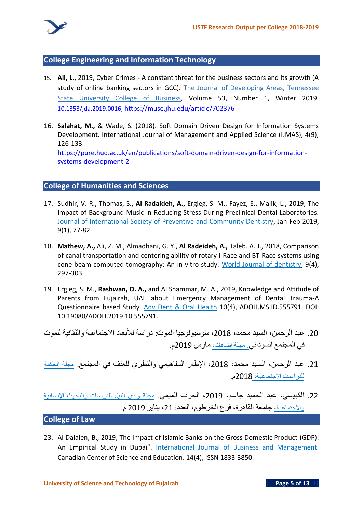

#### **College Engineering and Information Technology**

- 15. **Ali, L.,** 2019, Cyber Crimes A constant threat for the business sectors and its growth (A study of online banking sectors in GCC). The Journal of Developing Areas, Tennessee State University College of Business, Volume 53, Number 1, Winter 2019. 10.1353/jda.2019.0016, <https://muse.jhu.edu/article/702376>
- 16. **Salahat, M.,** & Wade, S. (2018). Soft Domain Driven Design for Information Systems Development. International Journal of Management and Applied Science (IJMAS), 4(9), 126-133. https://pure.hud.ac.uk/en/publications/soft-domain-driven-design-for-informationsystems-development-2

#### **College of Humanities and Sciences**

- 17. Sudhir, V. R., Thomas, S., **Al Radaideh, A.,** Ergieg, S. M., Fayez, E., Malik, L., 2019, The Impact of Background Music in Reducing Stress During Preclinical Dental Laboratories. Journal of International Society of Preventive and Community Dentistry, Jan-Feb 2019, 9(1), 77-82.
- 18. **Mathew, A.,** Ali, Z. M., Almadhani, G. Y., **Al Radeideh, A.,** Taleb. A. J., 2018, Comparison of canal transportation and centering ability of rotary I-Race and BT-Race systems using cone beam computed tomography: An in vitro study. World Journal of dentistry, 9(4), 297-303.
- 19. Ergieg, S. M., **Rashwan, O. A.,** and Al Shammar, M. A., 2019, Knowledge and Attitude of Parents from Fujairah, UAE about Emergency Management of Dental Trauma-A Questionnaire based Study. Adv Dent & Oral Health 10(4), ADOH.MS.ID.555791. DOI: [10.19080/ADOH.2019.10.555791.](http://dx.doi.org/10.19080/ADOH.2019.10.555791)
- .20 **عبد الرحمن، السيد محمد، ،**2018 **سوسيولوجيا الموت** : **دراسة لألبعاد االجتماعية والثقافية للموت في المجتمع السوداني. مجلة إضافات، مارس** 2019**م**.
- .21 **عبد الرحمن، السيد محمد، ،**2018 **اإلطار المفاهيمي والنظري للعنف في المجتمع**. **مجلة الحكمة للدراسات االجنماعية،** 2018**م**.

.22 **الكبيسي، عبد الحميد جاسم، ،**2019 **الحرف الميمي**. **مجلة وادي النيل للدراسات والبحوث اإلنسانية واالجتماعية، جامعة القاهرة، فرع الخرطوم، العدد** : **،**21 **يناير** 2019 **م**.

#### **College of Law**

23. Al Dalaien, B., 2019, The Impact of Islamic Banks on the Gross Domestic Product (GDP): An Empirical Study in Dubai". International Journal of Business and Management. Canadian Center of Science and Education. 14(4), ISSN 1833-3850.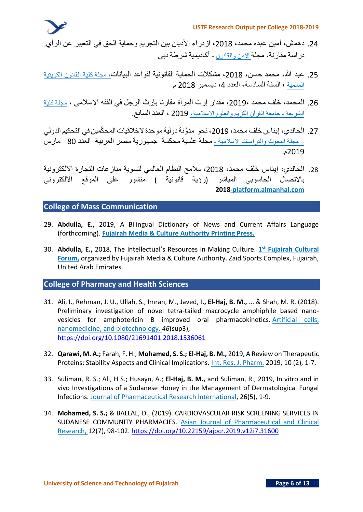- .24 **دهمش، أمين عبده محمد، ،**2018 **ازدراء األديان بين التجريم وحماية الحق في التعبير عن الرأي** . **دراسة مقارنة، مجلة األمن والقانون** - **أكاديمية شرطة دبي**
- .25 **عبد هللا، محمد حسن، ،**2018 **مشكالت الحماية القانونية لقواعد البيانات ، مجلة كلية القانون الكويتية العالمية ، السنة السادسة، العدد ،**4 **ديسمبر** 2018 **م**
- .26 **المحمد، خلف محمد ،**2019**، مقدار إرث المرأة مقارنا بإرث الرجل في الفقه االسالمي ، مجلة كلية الشريعة - جامعة القرآن الكريم والعلوم االسالمية،** 2019 **، العدد السابع**.
- .27 **الخالدي، إيناس خلف محمد، ،**2019 **نحو مدَّونةدوليةموحدة الخالقيات المح َّكمين في التحكيمالدولي – مجلة البحوث والدراسات االسالمية - مجلة علمية محكمة** -**جمهورية مصر العربية** -**العدد** 80 - **مارس**  2019**م**.
- .28 **الخالدي، إيناس خلف محمد، ،**2018 **مالمح النظام العالمي لتسوية منازعات التجارة االلكترونية باالتصال الحاسوبي المباشر** )**رؤية قانونية** ( **منشور على الموقع االلكتروني 2018 -platform.almanhal.com**

#### **College of Mass Communication**

- 29. **Abdulla, E.,** 2019, A Bilingual Dictionary of News and Current Affairs Language (forthcoming). **Fujairah Media & Culture Authority Printing Press.**
- 30. **Abdulla, E.,** 2018, The Intellectual's Resources in Making Culture. **1 st Fujairah Cultural Forum,** organized by Fujairah Media & Culture Authority. Zaid Sports Complex, Fujairah, United Arab Emirates.

## **College of Pharmacy and Health Sciences**

- 31. Ali, I., Rehman, J. U., Ullah, S., Imran, M., Javed, I**., El-Haj, B. M.,** ... & Shah, M. R. (2018). Preliminary investigation of novel tetra-tailed macrocycle amphiphile based nanovesicles for amphotericin B improved oral pharmacokinetics. Artificial cells, nanomedicine, and biotechnology, *46*(sup3), <https://doi.org/10.1080/21691401.2018.1536061>
- 32. **Qarawi, M. A.;** Farah, F. H.; **Mohamed, S. S.; El-Haj, B. M.,** 2019, A Review on Therapeutic Proteins: Stability Aspects and Clinical Implications. Int. Res. J. Pharm. 2019, 10 (2), 1-7.
- 33. Suliman, R. S.; Ali, H S.; Husayn, A.; **El-Haj, B. M.,** and Suliman, R., 2019, In vitro and in vivo Investigations of a Sudanese Honey in the Management of Dermatological Fungal Infections. Journal of Pharmaceutical Research International, 26(5), 1-9.
- 34. **Mohamed, S. S.;** & BALLAL, D., (2019). CARDIOVASCULAR RISK SCREENING SERVICES IN SUDANESE COMMUNITY PHARMACIES. Asian Journal of Pharmaceutical and Clinical Research, 12(7), 98-102[. https://doi.org/10.22159/ajpcr.2019.v12i7.31600](https://doi.org/10.22159/ajpcr.2019.v12i7.31600)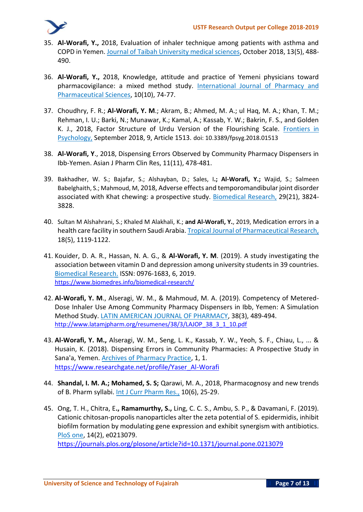

- 35. **Al-Worafi, Y.,** 2018, Evaluation of inhaler technique among patients with asthma and COPD in Yemen. Journal of Taibah University medical sciences, October 2018, 13(5), 488- 490.
- 36. **Al-Worafi, Y.,** 2018, Knowledge, attitude and practice of Yemeni physicians toward pharmacovigilance: a mixed method study. International Journal of Pharmacy and Pharmaceutical Sciences, 10(10), 74-77.
- 37. Choudhry, F. R.; **Al-Worafi, Y. M**.; Akram, B.; Ahmed, M. A.; ul Haq, M. A.; Khan, T. M.; Rehman, I. U.; Barki, N.; Munawar, K.; Kamal, A.; Kassab, Y. W.; Bakrin, F. S., and Golden K. J., 2018, Factor Structure of Urdu Version of the Flourishing Scale. Frontiers in Psychology, September 2018, 9, Article 1513. doi: 10.3389/fpsyg.2018.01513
- 38. **Al-Worafi, Y**., 2018, Dispensing Errors Observed by Community Pharmacy Dispensers in Ibb-Yemen. Asian J Pharm Clin Res, 11(11), 478-481.
- 39. Bakhadher, W. S.; Bajafar, S.; Alshayban, D.; Sales, I**.; Al-Worafi, Y.;** Wajid, S.; Salmeen Babelghaith, S.; Mahmoud, M, 2018, Adverse effects and temporomandibular joint disorder associated with Khat chewing: a prospective study. Biomedical Research, 29(21), 3824-3828.
- 40. Sultan M Alshahrani, S.; Khaled M Alakhali, K.; **and Al-Worafi, Y.**, 2019, Medication errors in a health care facility in southern Saudi Arabia. Tropical Journal of Pharmaceutical Research, 18(5), 1119-1122.
- 41. Kouider, D. A. R., Hassan, N. A. G., & **Al-Worafi, Y. M**. (2019). A study investigating the association between vitamin D and depression among university students in 39 countries. Biomedical Research. ISSN: 0976-1683, 6, 2019. [https://www.biomedres.info/biomedical-research/](https://www.biomedres.info/biomedical-research/a-study-investigating-the-association-between-vitamin-d-and-depressionamong-university-students-in-39-countries-11512.html)
- 42. **Al-Worafi, Y. M**., Alseragi, W. M., & Mahmoud, M. A. (2019). Competency of Metered-Dose Inhaler Use Among Community Pharmacy Dispensers in Ibb, Yemen: A Simulation Method Study. LATIN AMERICAN JOURNAL OF PHARMACY, 38(3), 489-494. http://www.latamjpharm.org/resumenes/38/3/LAJOP 38 3 1 10.pdf
- 43. **Al-Worafi, Y. M.,** Alseragi, W. M., Seng, L. K., Kassab, Y. W., Yeoh, S. F., Chiau, L., ... & Husain, K. (2018). Dispensing Errors in Community Pharmacies: A Prospective Study in Sana'a, Yemen. Archives of Pharmacy Practice, 1, 1. [https://www.researchgate.net/profile/Yaser\\_Al-Worafi](https://www.researchgate.net/profile/Yaser_Al-Worafi/publication/339587173_Dispensing_Errors_in_Community_Pharmacies_A_Prospective_Study_in_Sana)
- 44. **Shandal, I. M. A.; Mohamed, S. S;** Qarawi, M. A., 2018, Pharmacognosy and new trends of B. Pharm syllabi. Int J Curr Pharm Res., 10(6), 25-29.
- 45. Ong, T. H., Chitra, E**., Ramamurthy, S.,** Ling, C. C. S., Ambu, S. P., & Davamani, F. (2019). Cationic chitosan-propolis nanoparticles alter the zeta potential of S. epidermidis, inhibit biofilm formation by modulating gene expression and exhibit synergism with antibiotics. PloS one, 14(2), e0213079.

<https://journals.plos.org/plosone/article?id=10.1371/journal.pone.0213079>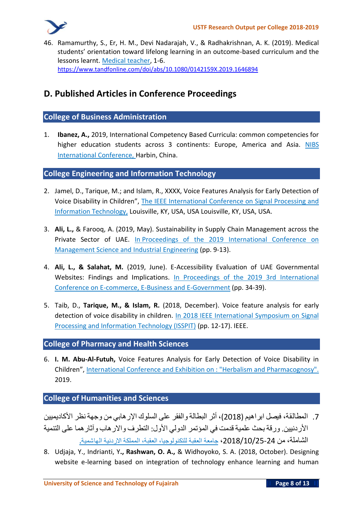

46. Ramamurthy, S., Er, H. M., Devi Nadarajah, V., & Radhakrishnan, A. K. (2019). Medical students' orientation toward lifelong learning in an outcome-based curriculum and the lessons learnt. Medical teacher, 1-6. <https://www.tandfonline.com/doi/abs/10.1080/0142159X.2019.1646894>

## **D. Published Articles in Conference Proceedings**

#### **College of Business Administration**

1. **Ibanez, A.,** 2019, International Competency Based Curricula: common competencies for higher education students across 3 continents: Europe, America and Asia. NIBS International Conference, Harbin, China.

#### **College Engineering and Information Technology**

- 2. Jamel, D., Tarique, M.; and Islam, R., XXXX, Voice Features Analysis for Early Detection of Voice Disability in Children", The IEEE International Conference on Signal Processing and Information Technology, Louisville, KY, USA, USA Louisville, KY, USA, USA.
- 3. **Ali, L.,** & Farooq, A. (2019, May). Sustainability in Supply Chain Management across the Private Sector of UAE. In Proceedings of the 2019 International Conference on Management Science and Industrial Engineering (pp. 9-13).
- 4. **Ali, L., & Salahat, M.** (2019, June). E-Accessibility Evaluation of UAE Governmental Websites: Findings and Implications. In Proceedings of the 2019 3rd International Conference on E-commerce, E-Business and E-Government (pp. 34-39).
- 5. Taib, D., **Tarique, M., & Islam, R.** (2018, December). Voice feature analysis for early detection of voice disability in children. In 2018 IEEE International Symposium on Signal Processing and Information Technology (ISSPIT) (pp. 12-17). IEEE.

#### **College of Pharmacy and Health Sciences**

6. **I. M. Abu-Al-Futuh,** Voice Features Analysis for Early Detection of Voice Disability in Children", International Conference and Exhibition on : "Herbalism and Pharmacognosy". 2019.

#### **College of Humanities and Sciences**

.7 **المطالقة، فيصل ابراهيم** )2018(**، أثر البطالة والفقر على السلوك اإلرهابي من وجهة نظر األكاديميين األردنيين** . **ورقة بحث علمية قدمت في المؤتمر الدولي األول**: **التطرف واالرهاب وآثارهما على التنمية الشاملة، من ،**2018/10/25-24 **جامعة العقبة للتكنولوجيا، العقبة، المملكة االردنية الهاشمية.**

8. Udjaja, Y., Indrianti, Y**., Rashwan, O. A.,** & Widhoyoko, S. A. (2018, October). Designing website e-learning based on integration of technology enhance learning and human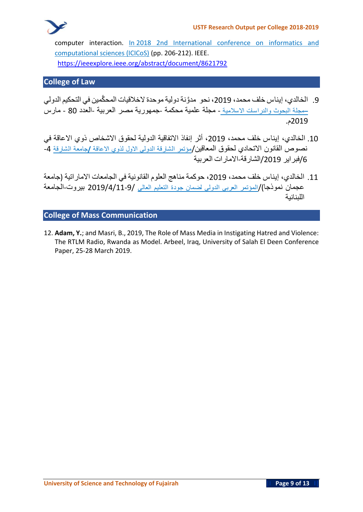

computer interaction. In 2018 2nd International conference on informatics and computational sciences (ICICoS) (pp. 206-212). IEEE. <https://ieeexplore.ieee.org/abstract/document/8621792>

## **College of Law**

- .9 **الخالدي، إيناس خلف محمد، ،**2019 **نحو مدَّونة دولية موحدة الخالقيات المح َّكمين في التحكيم الدولي –مجلة البحوث والدراسات االسالمية** - **مجلة علمية محكمة** -**جمهورية مصر العربية** -**العدد** 80 - **مارس** 2019**م**.
- .10 **الخالدي، إيناس خلف محمد، ،**2019 **أثر إنفاذ االتفاقية الدولية لحقوق االشخاص ذوي االعاقة في نصوص القانون االتحادي لحقوق المعاقين**/**مؤتمر الشارقة الدولي االول لذوي االعاقة /جامعة الشارقة** -4 /6**فبراير** /2019**الشارقة**-**االمارات العربية**
- .11 **الخالدي، إيناس خلف محمد، ،**2019 **حوكمة مناهج العلوم القانوني ة في الجامعات االماراتية** )**جامعة عجمان نموذجا**(/**المؤتمر العربي الدولي لضمان جودة التعليم العالي** 2019/4/11-9/ **بيروت** -**الجامعة اللبنانية**

## **College of Mass Communication**

12. **Adam, Y.**; and Masri, B., 2019, The Role of Mass Media in Instigating Hatred and Violence: The RTLM Radio, Rwanda as Model. Arbeel, Iraq, University of Salah El Deen Conference Paper, 25-28 March 2019.

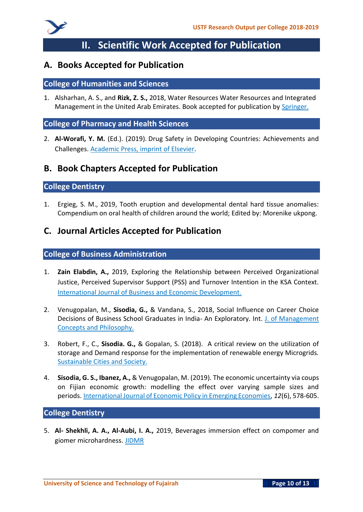

# **II. Scientific Work Accepted for Publication**

## **A. Books Accepted for Publication**

#### **College of Humanities and Sciences**

1. Alsharhan, A. S., and **Rizk, Z. S.,** 2018, Water Resources Water Resources and Integrated Management in the United Arab Emirates. Book accepted for publication by Springer.

#### **College of Pharmacy and Health Sciences**

2. **Al-Worafi, Y. M.** (Ed.). (2019). Drug Safety in Developing Countries: Achievements and Challenges. Academic Press, imprint of Elsevier.

## **B. Book Chapters Accepted for Publication**

#### **College Dentistry**

1. Ergieg, S. M., 2019, Tooth eruption and developmental dental hard tissue anomalies: Compendium on oral health of children around the world; Edited by: Morenike ukpong.

## **C. Journal Articles Accepted for Publication**

#### **College of Business Administration**

- 1. **Zain Elabdin, A.,** 2019, Exploring the Relationship between Perceived Organizational Justice, Perceived Supervisor Support (PSS) and Turnover Intention in the KSA Context. International Journal of Business and Economic Development.
- 2. Venugopalan, M., **Sisodia, G.,** & Vandana, S., 2018, Social Influence on Career Choice Decisions of Business School Graduates in India- An Exploratory. Int. J. of Management Concepts and Philosophy.
- 3. Robert, F., C., **Sisodia. G.,** & Gopalan, S. (2018). A critical review on the utilization of storage and Demand response for the implementation of renewable energy Microgrids. Sustainable Cities and Society.
- 4. **Sisodia, G. S., Ibanez, A.,** & Venugopalan, M. (2019). The economic uncertainty via coups on Fijian economic growth: modelling the effect over varying sample sizes and periods. International Journal of Economic Policy in Emerging Economies, *12*(6), 578-605.

#### **College Dentistry**

5. **Al- Shekhli, A. A., Al-Aubi, I. A.,** 2019, Beverages immersion effect on compomer and giomer microhardness. JIDMR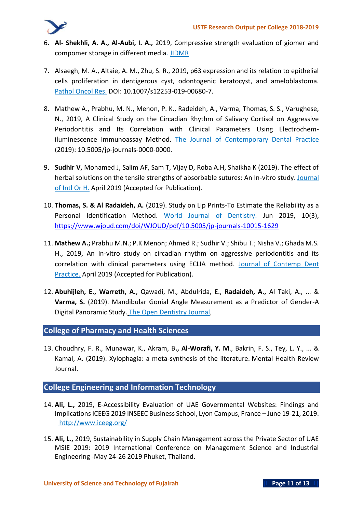

- 6. **Al- Shekhli, A. A., Al-Aubi, I. A.,** 2019, Compressive strength evaluation of giomer and compomer storage in different media. JIDMR
- 7. Alsaegh, M. A., Altaie, A. M., Zhu, S. R., 2019, p63 expression and its relation to epithelial cells proliferation in dentigerous cyst, odontogenic keratocyst, and ameloblastoma. Pathol Oncol Res. DOI: 10.1007/s12253-019-00680-7.
- 8. Mathew A., Prabhu, M. N., Menon, P. K., Radeideh, A., Varma, Thomas, S. S., Varughese, N., 2019, A Clinical Study on the Circadian Rhythm of Salivary Cortisol on Aggressive Periodontitis and Its Correlation with Clinical Parameters Using Electrochemiluminescence Immunoassay Method. The Journal of Contemporary Dental Practice (2019): 10.5005/jp-journals-0000-0000.
- 9. **Sudhir V,** Mohamed J, Salim AF, Sam T, Vijay D, Roba A.H, Shaikha K (2019). The effect of herbal solutions on the tensile strengths of absorbable sutures: An In-vitro study. Journal of Intl Or H. April 2019 (Accepted for Publication).
- 10. **Thomas, S. & Al Radaideh, A.** (2019). Study on Lip Prints-To Estimate the Reliability as a Personal Identification Method. World Journal of Dentistry. Jun 2019, 10(3), <https://www.wjoud.com/doi/WJOUD/pdf/10.5005/jp-journals-10015-1629>
- 11. **Mathew A.;** Prabhu M.N.; P.K Menon; Ahmed R.; Sudhir V.; Shibu T.; Nisha V.; Ghada M.S. H., 2019, An In-vitro study on circadian rhythm on aggressive periodontitis and its correlation with clinical parameters using ECLIA method. Journal of Contemp Dent Practice. April 2019 (Accepted for Publication).
- 12. **Abuhijleh, E., Warreth, A.**, Qawadi, M., Abdulrida, E., **Radaideh, A.,** Al Taki, A., ... & **Varma, S.** (2019). Mandibular Gonial Angle Measurement as a Predictor of Gender-A Digital Panoramic Study. The Open Dentistry Journal,

## **College of Pharmacy and Health Sciences**

13. Choudhry, F. R., Munawar, K., Akram, B**., Al-Worafi, Y. M**., Bakrin, F. S., Tey, L. Y., ... & Kamal, A. (2019). Xylophagia: a meta-synthesis of the literature. Mental Health Review Journal.

#### **College Engineering and Information Technology**

- 14. **Ali, L.,** 2019, E-Accessibility Evaluation of UAE Governmental Websites: Findings and Implications ICEEG 2019 INSEEC Business School, Lyon Campus, France – June 19-21, 2019. <http://www.iceeg.org/>
- 15. **Ali, L.,** 2019, Sustainability in Supply Chain Management across the Private Sector of UAE MSIE 2019: 2019 International Conference on Management Science and Industrial Engineering -May 24-26 2019 Phuket, Thailand.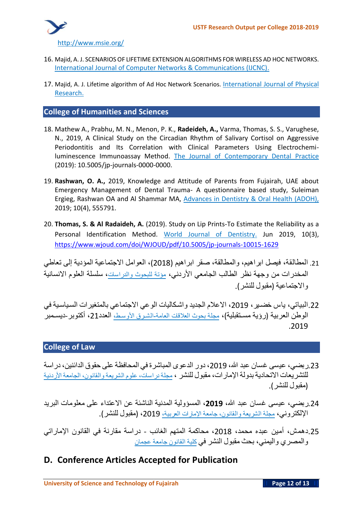

- 16. Majid, A. J. SCENARIOS OF LIFETIME EXTENSION ALGORITHMS FOR WIRELESS AD HOC NETWORKS. International Journal of Computer Networks & Communications (IJCNC).
- 17. Majid, A. J. Lifetime algorithm of Ad Hoc Network Scenarios. International Journal of Physical Research.

**College of Humanities and Sciences**

- 18. Mathew A., Prabhu, M. N., Menon, P. K., **Radeideh, A.,** Varma, Thomas, S. S., Varughese, N., 2019, A Clinical Study on the Circadian Rhythm of Salivary Cortisol on Aggressive Periodontitis and Its Correlation with Clinical Parameters Using Electrochemiluminescence Immunoassay Method. The Journal of Contemporary Dental Practice (2019): 10.5005/jp-journals-0000-0000.
- 19. **Rashwan, O. A.,** 2019, Knowledge and Attitude of Parents from Fujairah, UAE about Emergency Management of Dental Trauma- A questionnaire based study, Suleiman Ergieg, Rashwan OA and Al Shammar MA, Advances in Dentistry & Oral Health (ADOH), 2019; 10(4), 555791.
- 20. **Thomas, S. & Al Radaideh, A.** (2019). Study on Lip Prints-To Estimate the Reliability as a Personal Identification Method. World Journal of Dentistry. Jun 2019, 10(3), <https://www.wjoud.com/doi/WJOUD/pdf/10.5005/jp-journals-10015-1629>

.21 **المطالقة، فيصل ابراهيم، والمطالقة، صقر ابراهيم** )2018(**، العوامل االجتماعية المؤدية إلى تعاطي المخدرات من وجهة نظر الطالب الجامعي األردني، مؤتة للبحوث والدراسات، سلسلة العلوم االنسانية واالجتماعية** )**مقبول للنشر**(.

.22**البياتي، ياس خضيير، ،**2019 **االعالم الجديد واشيكاليات الوعي االجتماعي بالمتغيرات السيياسيية في الوطن العربية** )**رؤية مسيتقبلية**(**، مجلة بحوث العالقات العامة-الشيرق األوسيط، العدد ،**21 **أكتوبر**-**ديسيمبر** .2019

## **College of Law**

- .23**ربضي، عيسى غسان عبد هللا، ،**2019 **دور الدعوى المباشرة في المحافظة على حقوق الدائنين، دراسة للتشريعات االتحادية بدولة اإلمارات، مقبول للنشر ، مجلة دراسات، علوم الشريعة والقانون، الجامعة األردنية**  )**مقبول للنشر**(.
- .24**ربضي، عيسى غسان عبد هللا، ،2019 المسؤولية المدنية الناشئة عن االعتداء على معلومات البريد اإللكتروني، مجلة الشريعة والقانون، جامعة اإلمارات العربية، ،**2019 )**مقبول للنشر**(.
- .25**دهمش، أمين عبده محمد، ،**2018 **محاكمة المتهم الغائب دراسة مقارنة في القانون اإلمارات ي والمصري واليمني، بحث مقبول النشر في كلية القانون جامعة عجمان**
- **D. Conference Articles Accepted for Publication**